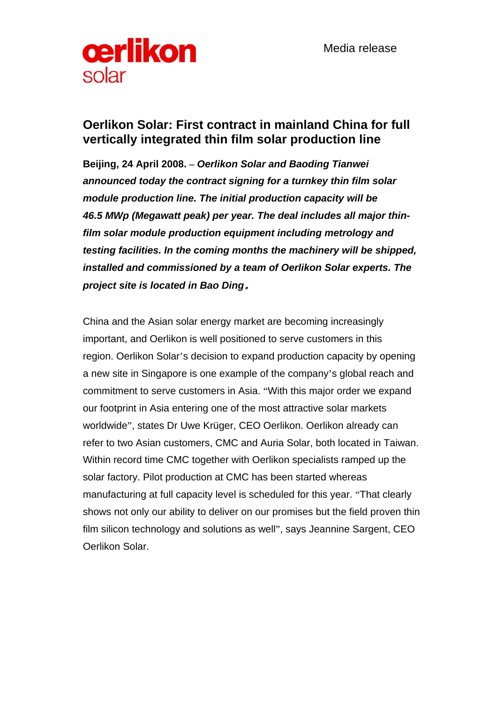

## **Oerlikon Solar: First contract in mainland China for full vertically integrated thin film solar production line**

**Beijing, 24 April 2008. –** *Oerlikon Solar and Baoding Tianwei announced today the contract signing for a turnkey thin film solar module production line. The initial production capacity will be 46.5 MWp (Megawatt peak) per year. The deal includes all major thinfilm solar module production equipment including metrology and testing facilities. In the coming months the machinery will be shipped, installed and commissioned by a team of Oerlikon Solar experts. The project site is located in Bao Ding*。

China and the Asian solar energy market are becoming increasingly important, and Oerlikon is well positioned to serve customers in this region. Oerlikon Solar's decision to expand production capacity by opening a new site in Singapore is one example of the company's global reach and commitment to serve customers in Asia. "With this major order we expand our footprint in Asia entering one of the most attractive solar markets worldwide", states Dr Uwe Krüger, CEO Oerlikon. Oerlikon already can refer to two Asian customers, CMC and Auria Solar, both located in Taiwan. Within record time CMC together with Oerlikon specialists ramped up the solar factory. Pilot production at CMC has been started whereas manufacturing at full capacity level is scheduled for this year. "That clearly shows not only our ability to deliver on our promises but the field proven thin film silicon technology and solutions as well", says Jeannine Sargent, CEO Oerlikon Solar.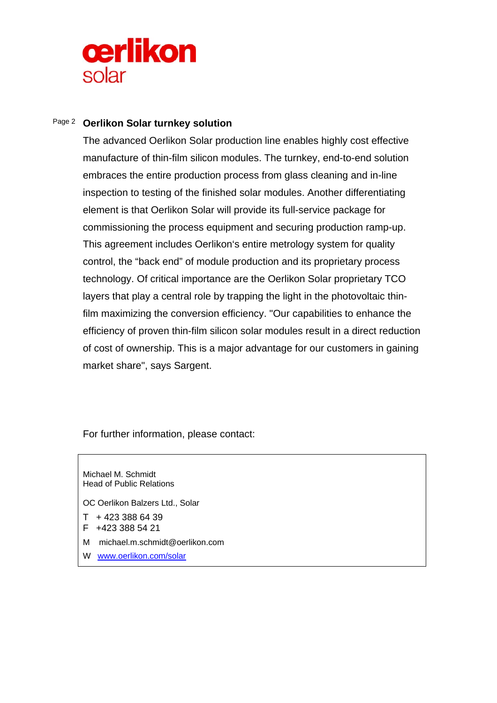

## Page 2 **Oerlikon Solar turnkey solution**

The advanced Oerlikon Solar production line enables highly cost effective manufacture of thin-film silicon modules. The turnkey, end-to-end solution embraces the entire production process from glass cleaning and in-line inspection to testing of the finished solar modules. Another differentiating element is that Oerlikon Solar will provide its full-service package for commissioning the process equipment and securing production ramp-up. This agreement includes Oerlikon's entire metrology system for quality control, the "back end" of module production and its proprietary process technology. Of critical importance are the Oerlikon Solar proprietary TCO layers that play a central role by trapping the light in the photovoltaic thinfilm maximizing the conversion efficiency. "Our capabilities to enhance the efficiency of proven thin-film silicon solar modules result in a direct reduction of cost of ownership. This is a major advantage for our customers in gaining market share", says Sargent.

For further information, please contact:

Michael M. Schmidt Head of Public Relations OC Oerlikon Balzers Ltd., Solar  $T + 42333866439$ F +423 388 54 21 M michael.m.schmidt@oerlikon.com

W www.oerlikon.com/solar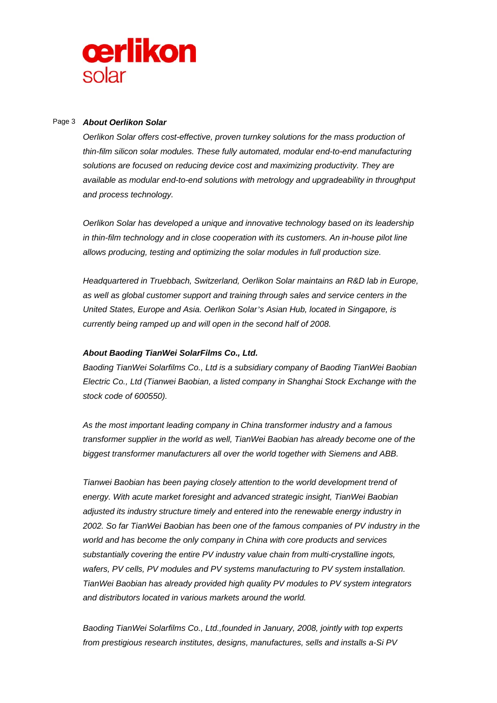

## Page 3 *About Oerlikon Solar*

*Oerlikon Solar offers cost-effective, proven turnkey solutions for the mass production of thin-film silicon solar modules. These fully automated, modular end-to-end manufacturing solutions are focused on reducing device cost and maximizing productivity. They are available as modular end-to-end solutions with metrology and upgradeability in throughput and process technology.* 

*Oerlikon Solar has developed a unique and innovative technology based on its leadership in thin-film technology and in close cooperation with its customers. An in-house pilot line allows producing, testing and optimizing the solar modules in full production size.* 

*Headquartered in Truebbach, Switzerland, Oerlikon Solar maintains an R&D lab in Europe, as well as global customer support and training through sales and service centers in the United States, Europe and Asia. Oerlikon Solar's Asian Hub, located in Singapore, is currently being ramped up and will open in the second half of 2008.* 

## *About Baoding TianWei SolarFilms Co., Ltd.*

*Baoding TianWei Solarfilms Co., Ltd is a subsidiary company of Baoding TianWei Baobian Electric Co., Ltd (Tianwei Baobian, a listed company in Shanghai Stock Exchange with the stock code of 600550).* 

*As the most important leading company in China transformer industry and a famous transformer supplier in the world as well, TianWei Baobian has already become one of the biggest transformer manufacturers all over the world together with Siemens and ABB.* 

*Tianwei Baobian has been paying closely attention to the world development trend of energy. With acute market foresight and advanced strategic insight, TianWei Baobian adjusted its industry structure timely and entered into the renewable energy industry in 2002. So far TianWei Baobian has been one of the famous companies of PV industry in the world and has become the only company in China with core products and services substantially covering the entire PV industry value chain from multi-crystalline ingots, wafers, PV cells, PV modules and PV systems manufacturing to PV system installation. TianWei Baobian has already provided high quality PV modules to PV system integrators and distributors located in various markets around the world.* 

*Baoding TianWei Solarfilms Co., Ltd.,founded in January, 2008, jointly with top experts from prestigious research institutes, designs, manufactures, sells and installs a-Si PV*